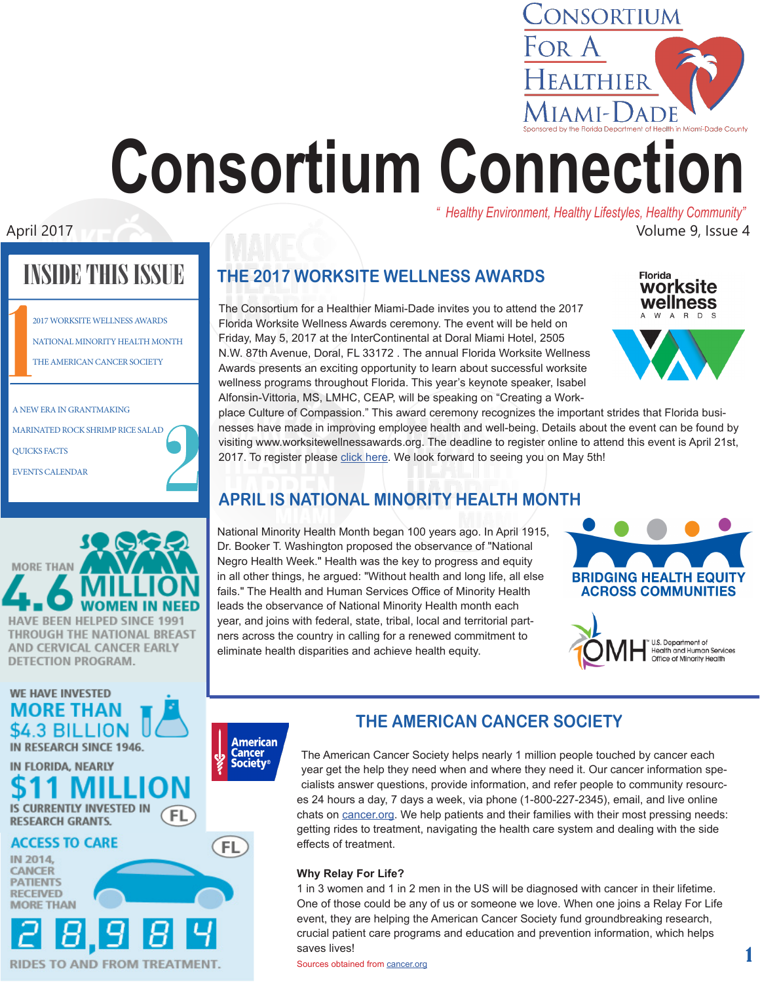# EALTHIER  $[IAMI-]$ ADE **Consortium Connection** *" Healthy Environment, Healthy Lifestyles, Healthy Community"*

April 2017 **April 2017 April 2017 April 2017 April 2017 April 2017 April 2017 April 2017 April 2017 April 2017 April 2017 April 2017 April 2017 April 2017 April 2017 April 2017 April 2017 Ap** 

# **INIDE THIS ISSUE**

|                          | <b>2017 WORKSITE WELLNESS AWARDS</b> |
|--------------------------|--------------------------------------|
|                          | NATIONAL MINORITY HEALTH MONTH       |
|                          | THE AMERICAN CANCER SOCIETY          |
|                          |                                      |
|                          |                                      |
| A NEW ERA IN GRANTMAKING |                                      |

MARINATED ROCK SHRIMP RICE SALAD QUICKS FACTS

EVENTS CALENDAR



## **WE HAVE INVESTED ORE THAN** \$4.3 BILLION IN RESEARCH SINCE 1946.

IN FLORIDA, NEARLY IS CURRENTLY INVESTED IN FL **RESEARCH GRANTS.** 

#### **ACCESS TO CARE** IN 2014.

CANCER **PATIENTS RECEIVED** 

# ES TO AND FROM TREATMENT.

**THE 2017 WORKSITE WELLNESS AWARDS**

The Consortium for a Healthier Miami-Dade invites you to attend the 2017 Florida Worksite Wellness Awards ceremony. The event will be held on Friday, May 5, 2017 at the InterContinental at Doral Miami Hotel, 2505 N.W. 87th Avenue, Doral, FL 33172 . The annual Florida Worksite Wellness Awards presents an exciting opportunity to learn about successful worksite wellness programs throughout Florida. This year's keynote speaker, Isabel Alfonsin-Vittoria, MS, LMHC, CEAP, will be speaking on "Creating a Work**Florida** worksite wellness W A R D

CONSORTIUM

For A



place Culture of Compassion." This award ceremony recognizes the important strides that Florida businesses have made in improving employee health and well-being. Details about the event can be found by visiting www.worksitewellnessawards.org. The deadline to register online to attend this event is April 21st, 2017. To register please [click here.](https://www.eventbrite.com/e/2017-florida-worksite-wellness-awards-tickets-32188020235) We look forward to seeing you on May 5th!

## **APRIL IS NATIONAL MINORITY HEALTH MONTH**

National Minority Health Month began 100 years ago. In April 1915, Dr. Booker T. Washington proposed the observance of "National Negro Health Week." Health was the key to progress and equity in all other things, he argued: "Without health and long life, all else fails." The Health and Human Services Office of Minority Health leads the observance of National Minority Health month each year, and joins with federal, state, tribal, local and territorial partners across the country in calling for a renewed commitment to eliminate health disparities and achieve health equity.





1

# **American**

Cancer **Society**®

FL

## **THE AMERICAN CANCER SOCIETY**

The American Cancer Society helps nearly 1 million people touched by cancer each year get the help they need when and where they need it. Our cancer information specialists answer questions, provide information, and refer people to community resources 24 hours a day, 7 days a week, via phone (1-800-227-2345), email, and live online chats on [cancer.org.](http://cancer.org) We help patients and their families with their most pressing needs: getting rides to treatment, navigating the health care system and dealing with the side effects of treatment.

## **Why Relay For Life?**

1 in 3 women and 1 in 2 men in the US will be diagnosed with cancer in their lifetime. One of those could be any of us or someone we love. When one joins a Relay For Life event, they are helping the American Cancer Society fund groundbreaking research, crucial patient care programs and education and prevention information, which helps saves lives!

Sources obtained from [cancer.org](http://cancer.org )